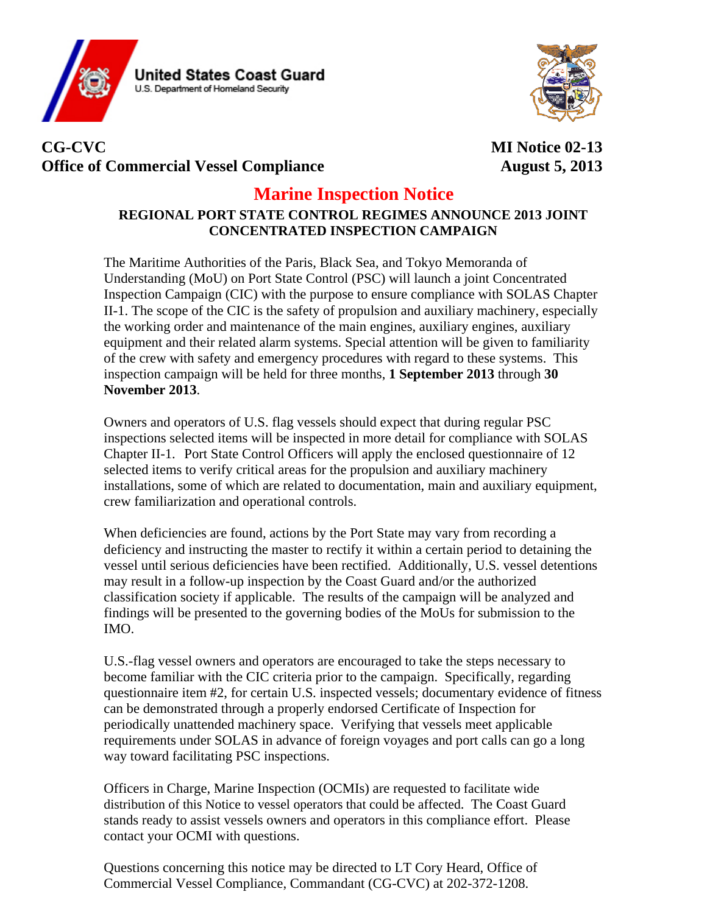



# **CG-CVC MI Notice 02-13**  Office of Commercial Vessel Compliance **August 5, 2013**

## **Marine Inspection Notice**

#### **REGIONAL PORT STATE CONTROL REGIMES ANNOUNCE 2013 JOINT CONCENTRATED INSPECTION CAMPAIGN**

The Maritime Authorities of the Paris, Black Sea, and Tokyo Memoranda of Understanding (MoU) on Port State Control (PSC) will launch a joint Concentrated Inspection Campaign (CIC) with the purpose to ensure compliance with SOLAS Chapter II-1. The scope of the CIC is the safety of propulsion and auxiliary machinery, especially the working order and maintenance of the main engines, auxiliary engines, auxiliary equipment and their related alarm systems. Special attention will be given to familiarity of the crew with safety and emergency procedures with regard to these systems. This inspection campaign will be held for three months, **1 September 2013** through **30 November 2013**.

Owners and operators of U.S. flag vessels should expect that during regular PSC inspections selected items will be inspected in more detail for compliance with SOLAS Chapter II-1. Port State Control Officers will apply the enclosed questionnaire of 12 selected items to verify critical areas for the propulsion and auxiliary machinery installations, some of which are related to documentation, main and auxiliary equipment, crew familiarization and operational controls.

When deficiencies are found, actions by the Port State may vary from recording a deficiency and instructing the master to rectify it within a certain period to detaining the vessel until serious deficiencies have been rectified. Additionally, U.S. vessel detentions may result in a follow-up inspection by the Coast Guard and/or the authorized classification society if applicable. The results of the campaign will be analyzed and findings will be presented to the governing bodies of the MoUs for submission to the IMO.

U.S.-flag vessel owners and operators are encouraged to take the steps necessary to become familiar with the CIC criteria prior to the campaign. Specifically, regarding questionnaire item #2, for certain U.S. inspected vessels; documentary evidence of fitness can be demonstrated through a properly endorsed Certificate of Inspection for periodically unattended machinery space. Verifying that vessels meet applicable requirements under SOLAS in advance of foreign voyages and port calls can go a long way toward facilitating PSC inspections.

Officers in Charge, Marine Inspection (OCMIs) are requested to facilitate wide distribution of this Notice to vessel operators that could be affected. The Coast Guard stands ready to assist vessels owners and operators in this compliance effort. Please contact your OCMI with questions.

Questions concerning this notice may be directed to LT Cory Heard, Office of Commercial Vessel Compliance, Commandant (CG-CVC) at 202-372-1208.